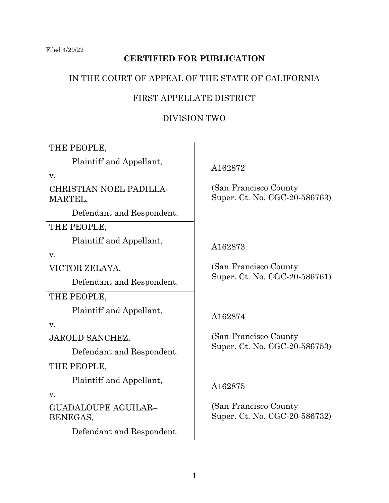# **CERTIFIED FOR PUBLICATION**

## IN THE COURT OF APPEAL OF THE STATE OF CALIFORNIA

## FIRST APPELLATE DISTRICT

# DIVISION TWO

THE PEOPLE,

Plaintiff and Appellant,

v.

CHRISTIAN NOEL PADILLA-MARTEL,

Defendant and Respondent.

THE PEOPLE,

Plaintiff and Appellant,

v.

VICTOR ZELAYA,

Defendant and Respondent.

THE PEOPLE,

Plaintiff and Appellant,

v.

JAROLD SANCHEZ,

Defendant and Respondent.

THE PEOPLE,

Plaintiff and Appellant,

v.

GUADALOUPE AGUILAR– BENEGAS,

Defendant and Respondent.

A162872

 (San Francisco County Super. Ct. No. CGC-20-586763)

# A162873

 (San Francisco County Super. Ct. No. CGC-20-586761)

# A162874

 (San Francisco County Super. Ct. No. CGC-20-586753)

A162875

 (San Francisco County Super. Ct. No. CGC-20-586732)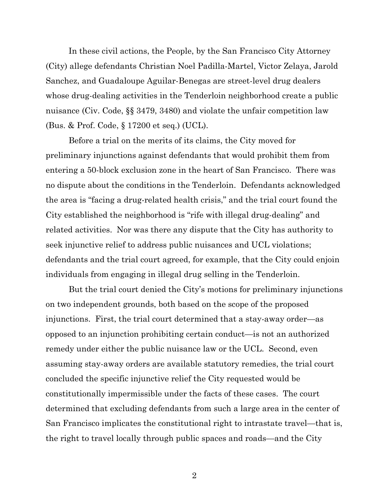In these civil actions, the People, by the San Francisco City Attorney (City) allege defendants Christian Noel Padilla-Martel, Victor Zelaya, Jarold Sanchez, and Guadaloupe Aguilar-Benegas are street-level drug dealers whose drug-dealing activities in the Tenderloin neighborhood create a public nuisance (Civ. Code, §§ 3479, 3480) and violate the unfair competition law (Bus. & Prof. Code, § 17200 et seq.) (UCL).

Before a trial on the merits of its claims, the City moved for preliminary injunctions against defendants that would prohibit them from entering a 50-block exclusion zone in the heart of San Francisco. There was no dispute about the conditions in the Tenderloin. Defendants acknowledged the area is "facing a drug-related health crisis," and the trial court found the City established the neighborhood is "rife with illegal drug-dealing" and related activities. Nor was there any dispute that the City has authority to seek injunctive relief to address public nuisances and UCL violations; defendants and the trial court agreed, for example, that the City could enjoin individuals from engaging in illegal drug selling in the Tenderloin.

But the trial court denied the City's motions for preliminary injunctions on two independent grounds, both based on the scope of the proposed injunctions. First, the trial court determined that a stay-away order—as opposed to an injunction prohibiting certain conduct—is not an authorized remedy under either the public nuisance law or the UCL. Second, even assuming stay-away orders are available statutory remedies, the trial court concluded the specific injunctive relief the City requested would be constitutionally impermissible under the facts of these cases. The court determined that excluding defendants from such a large area in the center of San Francisco implicates the constitutional right to intrastate travel—that is, the right to travel locally through public spaces and roads—and the City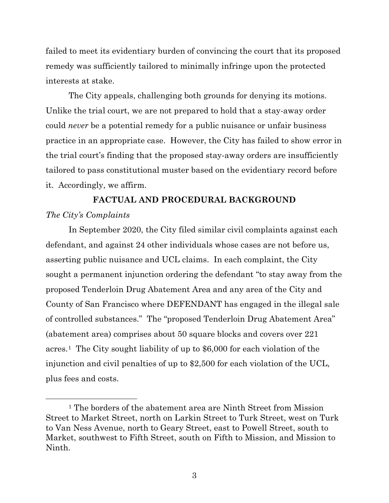failed to meet its evidentiary burden of convincing the court that its proposed remedy was sufficiently tailored to minimally infringe upon the protected interests at stake.

The City appeals, challenging both grounds for denying its motions. Unlike the trial court, we are not prepared to hold that a stay-away order could *never* be a potential remedy for a public nuisance or unfair business practice in an appropriate case. However, the City has failed to show error in the trial court's finding that the proposed stay-away orders are insufficiently tailored to pass constitutional muster based on the evidentiary record before it. Accordingly, we affirm.

# **FACTUAL AND PROCEDURAL BACKGROUND** *The City's Complaints*

In September 2020, the City filed similar civil complaints against each defendant, and against 24 other individuals whose cases are not before us, asserting public nuisance and UCL claims. In each complaint, the City sought a permanent injunction ordering the defendant "to stay away from the proposed Tenderloin Drug Abatement Area and any area of the City and County of San Francisco where DEFENDANT has engaged in the illegal sale of controlled substances." The "proposed Tenderloin Drug Abatement Area" (abatement area) comprises about 50 square blocks and covers over 221 acres.[1](#page-2-0) The City sought liability of up to \$6,000 for each violation of the injunction and civil penalties of up to \$2,500 for each violation of the UCL, plus fees and costs.

<span id="page-2-0"></span><sup>1</sup> The borders of the abatement area are Ninth Street from Mission Street to Market Street, north on Larkin Street to Turk Street, west on Turk to Van Ness Avenue, north to Geary Street, east to Powell Street, south to Market, southwest to Fifth Street, south on Fifth to Mission, and Mission to Ninth.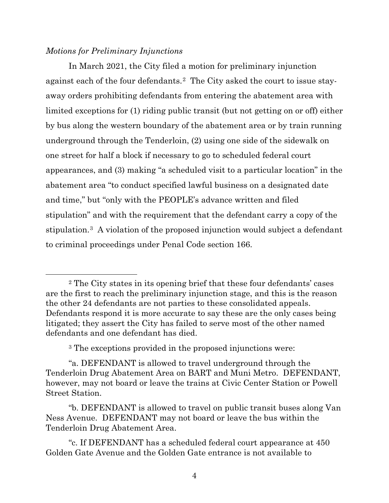## *Motions for Preliminary Injunctions*

In March 2021, the City filed a motion for preliminary injunction against each of the four defendants.[2](#page-3-0) The City asked the court to issue stayaway orders prohibiting defendants from entering the abatement area with limited exceptions for (1) riding public transit (but not getting on or off) either by bus along the western boundary of the abatement area or by train running underground through the Tenderloin, (2) using one side of the sidewalk on one street for half a block if necessary to go to scheduled federal court appearances, and (3) making "a scheduled visit to a particular location" in the abatement area "to conduct specified lawful business on a designated date and time," but "only with the PEOPLE's advance written and filed stipulation" and with the requirement that the defendant carry a copy of the stipulation.[3](#page-3-1) A violation of the proposed injunction would subject a defendant to criminal proceedings under Penal Code section 166.

<sup>3</sup> The exceptions provided in the proposed injunctions were:

<span id="page-3-0"></span><sup>2</sup> The City states in its opening brief that these four defendants' cases are the first to reach the preliminary injunction stage, and this is the reason the other 24 defendants are not parties to these consolidated appeals. Defendants respond it is more accurate to say these are the only cases being litigated; they assert the City has failed to serve most of the other named defendants and one defendant has died.

<span id="page-3-1"></span><sup>&</sup>quot;a. DEFENDANT is allowed to travel underground through the Tenderloin Drug Abatement Area on BART and Muni Metro. DEFENDANT, however, may not board or leave the trains at Civic Center Station or Powell Street Station.

<sup>&</sup>quot;b. DEFENDANT is allowed to travel on public transit buses along Van Ness Avenue. DEFENDANT may not board or leave the bus within the Tenderloin Drug Abatement Area.

<sup>&</sup>quot;c. If DEFENDANT has a scheduled federal court appearance at 450 Golden Gate Avenue and the Golden Gate entrance is not available to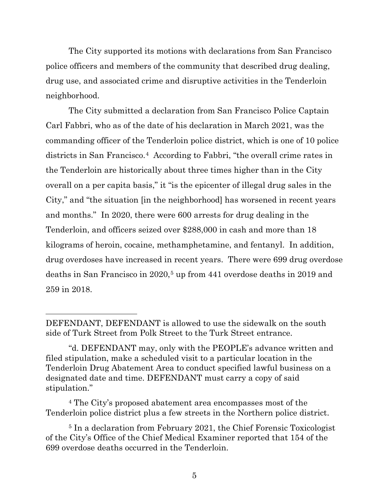The City supported its motions with declarations from San Francisco police officers and members of the community that described drug dealing, drug use, and associated crime and disruptive activities in the Tenderloin neighborhood.

The City submitted a declaration from San Francisco Police Captain Carl Fabbri, who as of the date of his declaration in March 2021, was the commanding officer of the Tenderloin police district, which is one of 10 police districts in San Francisco.<sup>[4](#page-4-0)</sup> According to Fabbri, "the overall crime rates in the Tenderloin are historically about three times higher than in the City overall on a per capita basis," it "is the epicenter of illegal drug sales in the City," and "the situation [in the neighborhood] has worsened in recent years and months." In 2020, there were 600 arrests for drug dealing in the Tenderloin, and officers seized over \$288,000 in cash and more than 18 kilograms of heroin, cocaine, methamphetamine, and fentanyl. In addition, drug overdoses have increased in recent years. There were 699 drug overdose deaths in San Francisco in 2020,<sup>[5](#page-4-1)</sup> up from 441 overdose deaths in 2019 and 259 in 2018.

<span id="page-4-0"></span><sup>4</sup> The City's proposed abatement area encompasses most of the Tenderloin police district plus a few streets in the Northern police district.

<span id="page-4-1"></span><sup>5</sup> In a declaration from February 2021, the Chief Forensic Toxicologist of the City's Office of the Chief Medical Examiner reported that 154 of the 699 overdose deaths occurred in the Tenderloin.

DEFENDANT, DEFENDANT is allowed to use the sidewalk on the south side of Turk Street from Polk Street to the Turk Street entrance.

<sup>&</sup>quot;d. DEFENDANT may, only with the PEOPLE's advance written and filed stipulation, make a scheduled visit to a particular location in the Tenderloin Drug Abatement Area to conduct specified lawful business on a designated date and time. DEFENDANT must carry a copy of said stipulation."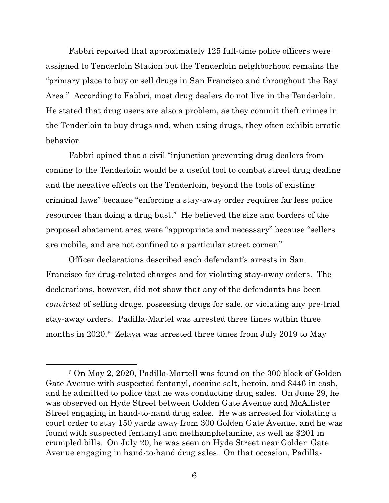Fabbri reported that approximately 125 full-time police officers were assigned to Tenderloin Station but the Tenderloin neighborhood remains the "primary place to buy or sell drugs in San Francisco and throughout the Bay Area." According to Fabbri, most drug dealers do not live in the Tenderloin. He stated that drug users are also a problem, as they commit theft crimes in the Tenderloin to buy drugs and, when using drugs, they often exhibit erratic behavior.

Fabbri opined that a civil "injunction preventing drug dealers from coming to the Tenderloin would be a useful tool to combat street drug dealing and the negative effects on the Tenderloin, beyond the tools of existing criminal laws" because "enforcing a stay-away order requires far less police resources than doing a drug bust." He believed the size and borders of the proposed abatement area were "appropriate and necessary" because "sellers are mobile, and are not confined to a particular street corner."

Officer declarations described each defendant's arrests in San Francisco for drug-related charges and for violating stay-away orders. The declarations, however, did not show that any of the defendants has been *convicted* of selling drugs, possessing drugs for sale, or violating any pre-trial stay-away orders. Padilla-Martel was arrested three times within three months in 2020.[6](#page-5-0) Zelaya was arrested three times from July 2019 to May

<span id="page-5-0"></span><sup>6</sup> On May 2, 2020, Padilla-Martell was found on the 300 block of Golden Gate Avenue with suspected fentanyl, cocaine salt, heroin, and \$446 in cash, and he admitted to police that he was conducting drug sales. On June 29, he was observed on Hyde Street between Golden Gate Avenue and McAllister Street engaging in hand-to-hand drug sales. He was arrested for violating a court order to stay 150 yards away from 300 Golden Gate Avenue, and he was found with suspected fentanyl and methamphetamine, as well as \$201 in crumpled bills. On July 20, he was seen on Hyde Street near Golden Gate Avenue engaging in hand-to-hand drug sales. On that occasion, Padilla-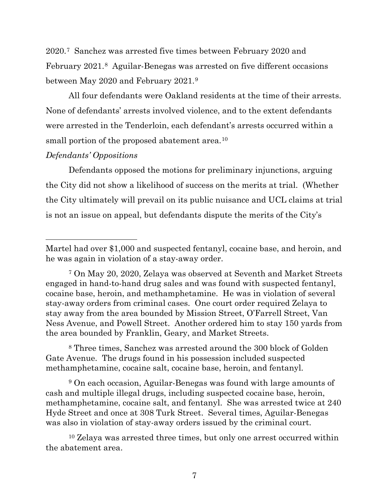2020.[7](#page-6-0) Sanchez was arrested five times between February 2020 and February 2021.[8](#page-6-1) Aguilar-Benegas was arrested on five different occasions between May 2020 and February 2021.[9](#page-6-2) 

All four defendants were Oakland residents at the time of their arrests. None of defendants' arrests involved violence, and to the extent defendants were arrested in the Tenderloin, each defendant's arrests occurred within a small portion of the proposed abatement area.<sup>10</sup>

## *Defendants' Oppositions*

Defendants opposed the motions for preliminary injunctions, arguing the City did not show a likelihood of success on the merits at trial. (Whether the City ultimately will prevail on its public nuisance and UCL claims at trial is not an issue on appeal, but defendants dispute the merits of the City's

<span id="page-6-1"></span><sup>8</sup> Three times, Sanchez was arrested around the 300 block of Golden Gate Avenue. The drugs found in his possession included suspected methamphetamine, cocaine salt, cocaine base, heroin, and fentanyl.

<span id="page-6-2"></span><sup>9</sup> On each occasion, Aguilar-Benegas was found with large amounts of cash and multiple illegal drugs, including suspected cocaine base, heroin, methamphetamine, cocaine salt, and fentanyl. She was arrested twice at 240 Hyde Street and once at 308 Turk Street. Several times, Aguilar-Benegas was also in violation of stay-away orders issued by the criminal court.

Martel had over \$1,000 and suspected fentanyl, cocaine base, and heroin, and he was again in violation of a stay-away order.

<span id="page-6-0"></span><sup>7</sup> On May 20, 2020, Zelaya was observed at Seventh and Market Streets engaged in hand-to-hand drug sales and was found with suspected fentanyl, cocaine base, heroin, and methamphetamine. He was in violation of several stay-away orders from criminal cases. One court order required Zelaya to stay away from the area bounded by Mission Street, O'Farrell Street, Van Ness Avenue, and Powell Street. Another ordered him to stay 150 yards from the area bounded by Franklin, Geary, and Market Streets.

<span id="page-6-3"></span><sup>10</sup> Zelaya was arrested three times, but only one arrest occurred within the abatement area.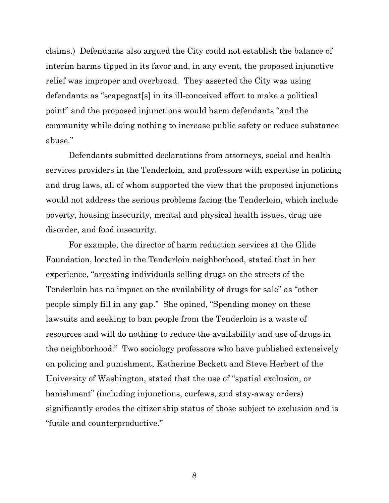claims.) Defendants also argued the City could not establish the balance of interim harms tipped in its favor and, in any event, the proposed injunctive relief was improper and overbroad. They asserted the City was using defendants as "scapegoat[s] in its ill-conceived effort to make a political point" and the proposed injunctions would harm defendants "and the community while doing nothing to increase public safety or reduce substance abuse."

Defendants submitted declarations from attorneys, social and health services providers in the Tenderloin, and professors with expertise in policing and drug laws, all of whom supported the view that the proposed injunctions would not address the serious problems facing the Tenderloin, which include poverty, housing insecurity, mental and physical health issues, drug use disorder, and food insecurity.

For example, the director of harm reduction services at the Glide Foundation, located in the Tenderloin neighborhood, stated that in her experience, "arresting individuals selling drugs on the streets of the Tenderloin has no impact on the availability of drugs for sale" as "other people simply fill in any gap." She opined, "Spending money on these lawsuits and seeking to ban people from the Tenderloin is a waste of resources and will do nothing to reduce the availability and use of drugs in the neighborhood." Two sociology professors who have published extensively on policing and punishment, Katherine Beckett and Steve Herbert of the University of Washington, stated that the use of "spatial exclusion, or banishment" (including injunctions, curfews, and stay-away orders) significantly erodes the citizenship status of those subject to exclusion and is "futile and counterproductive."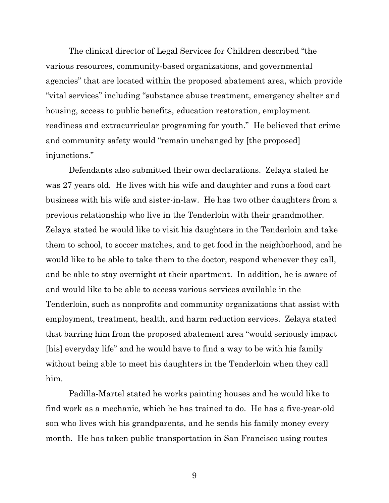The clinical director of Legal Services for Children described "the various resources, community-based organizations, and governmental agencies" that are located within the proposed abatement area, which provide "vital services" including "substance abuse treatment, emergency shelter and housing, access to public benefits, education restoration, employment readiness and extracurricular programing for youth." He believed that crime and community safety would "remain unchanged by [the proposed] injunctions."

Defendants also submitted their own declarations. Zelaya stated he was 27 years old. He lives with his wife and daughter and runs a food cart business with his wife and sister-in-law. He has two other daughters from a previous relationship who live in the Tenderloin with their grandmother. Zelaya stated he would like to visit his daughters in the Tenderloin and take them to school, to soccer matches, and to get food in the neighborhood, and he would like to be able to take them to the doctor, respond whenever they call, and be able to stay overnight at their apartment. In addition, he is aware of and would like to be able to access various services available in the Tenderloin, such as nonprofits and community organizations that assist with employment, treatment, health, and harm reduction services. Zelaya stated that barring him from the proposed abatement area "would seriously impact [his] everyday life" and he would have to find a way to be with his family without being able to meet his daughters in the Tenderloin when they call him.

Padilla-Martel stated he works painting houses and he would like to find work as a mechanic, which he has trained to do. He has a five-year-old son who lives with his grandparents, and he sends his family money every month. He has taken public transportation in San Francisco using routes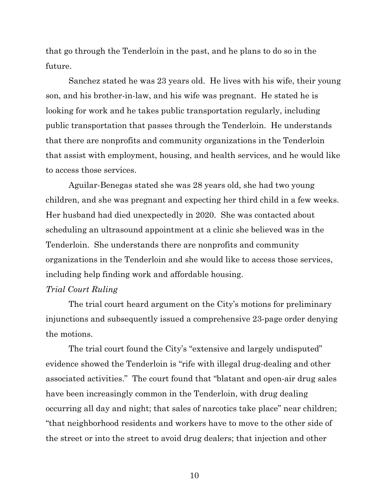that go through the Tenderloin in the past, and he plans to do so in the future.

Sanchez stated he was 23 years old. He lives with his wife, their young son, and his brother-in-law, and his wife was pregnant. He stated he is looking for work and he takes public transportation regularly, including public transportation that passes through the Tenderloin. He understands that there are nonprofits and community organizations in the Tenderloin that assist with employment, housing, and health services, and he would like to access those services.

Aguilar-Benegas stated she was 28 years old, she had two young children, and she was pregnant and expecting her third child in a few weeks. Her husband had died unexpectedly in 2020. She was contacted about scheduling an ultrasound appointment at a clinic she believed was in the Tenderloin. She understands there are nonprofits and community organizations in the Tenderloin and she would like to access those services, including help finding work and affordable housing.

### *Trial Court Ruling*

The trial court heard argument on the City's motions for preliminary injunctions and subsequently issued a comprehensive 23-page order denying the motions.

The trial court found the City's "extensive and largely undisputed" evidence showed the Tenderloin is "rife with illegal drug-dealing and other associated activities." The court found that "blatant and open-air drug sales have been increasingly common in the Tenderloin, with drug dealing occurring all day and night; that sales of narcotics take place" near children; "that neighborhood residents and workers have to move to the other side of the street or into the street to avoid drug dealers; that injection and other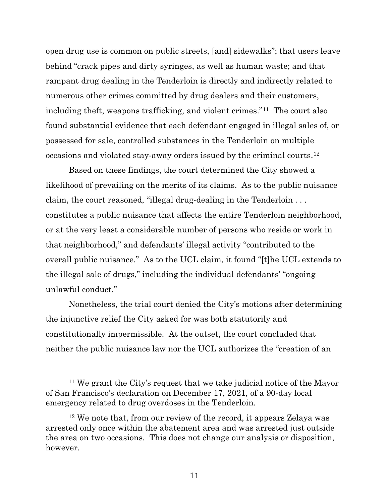open drug use is common on public streets, [and] sidewalks"; that users leave behind "crack pipes and dirty syringes, as well as human waste; and that rampant drug dealing in the Tenderloin is directly and indirectly related to numerous other crimes committed by drug dealers and their customers, including theft, weapons trafficking, and violent crimes."[11](#page-10-0) The court also found substantial evidence that each defendant engaged in illegal sales of, or possessed for sale, controlled substances in the Tenderloin on multiple occasions and violated stay-away orders issued by the criminal courts.[12](#page-10-1)

Based on these findings, the court determined the City showed a likelihood of prevailing on the merits of its claims. As to the public nuisance claim, the court reasoned, "illegal drug-dealing in the Tenderloin . . . constitutes a public nuisance that affects the entire Tenderloin neighborhood, or at the very least a considerable number of persons who reside or work in that neighborhood," and defendants' illegal activity "contributed to the overall public nuisance." As to the UCL claim, it found "[t]he UCL extends to the illegal sale of drugs," including the individual defendants' "ongoing unlawful conduct."

Nonetheless, the trial court denied the City's motions after determining the injunctive relief the City asked for was both statutorily and constitutionally impermissible. At the outset, the court concluded that neither the public nuisance law nor the UCL authorizes the "creation of an

<span id="page-10-0"></span><sup>11</sup> We grant the City's request that we take judicial notice of the Mayor of San Francisco's declaration on December 17, 2021, of a 90-day local emergency related to drug overdoses in the Tenderloin.

<span id="page-10-1"></span><sup>12</sup> We note that, from our review of the record, it appears Zelaya was arrested only once within the abatement area and was arrested just outside the area on two occasions. This does not change our analysis or disposition, however.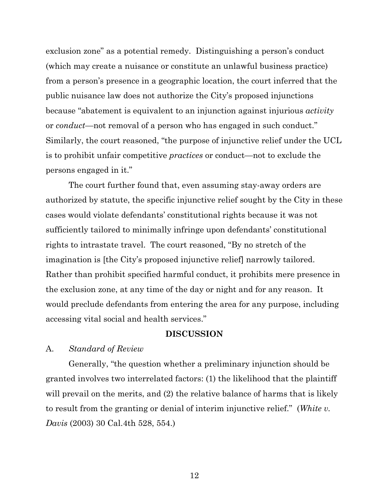exclusion zone" as a potential remedy. Distinguishing a person's conduct (which may create a nuisance or constitute an unlawful business practice) from a person's presence in a geographic location, the court inferred that the public nuisance law does not authorize the City's proposed injunctions because "abatement is equivalent to an injunction against injurious *activity* or *conduct*—not removal of a person who has engaged in such conduct." Similarly, the court reasoned, "the purpose of injunctive relief under the UCL is to prohibit unfair competitive *practices* or conduct—not to exclude the persons engaged in it."

The court further found that, even assuming stay-away orders are authorized by statute, the specific injunctive relief sought by the City in these cases would violate defendants' constitutional rights because it was not sufficiently tailored to minimally infringe upon defendants' constitutional rights to intrastate travel. The court reasoned, "By no stretch of the imagination is [the City's proposed injunctive relief] narrowly tailored. Rather than prohibit specified harmful conduct, it prohibits mere presence in the exclusion zone, at any time of the day or night and for any reason. It would preclude defendants from entering the area for any purpose, including accessing vital social and health services."

#### **DISCUSSION**

#### A. *Standard of Review*

Generally, "the question whether a preliminary injunction should be granted involves two interrelated factors: (1) the likelihood that the plaintiff will prevail on the merits, and (2) the relative balance of harms that is likely to result from the granting or denial of interim injunctive relief." (*White v. Davis* (2003) 30 Cal.4th 528, 554.)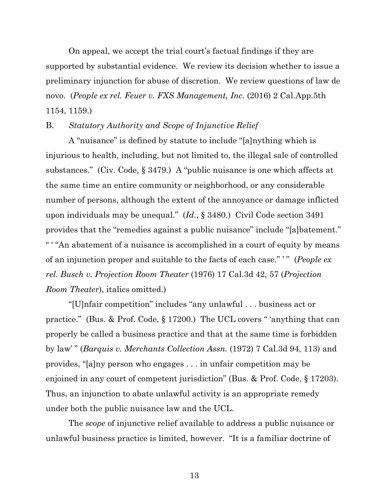On appeal, we accept the trial court's factual findings if they are supported by substantial evidence. We review its decision whether to issue a preliminary injunction for abuse of discretion. We review questions of law de novo. (*People ex rel. Feuer v. FXS Management, Inc.* (2016) 2 Cal.App.5th 1154, 1159.)

## B. *Statutory Authority and Scope of Injunctive Relief*

A "nuisance" is defined by statute to include "[a]nything which is injurious to health, including, but not limited to, the illegal sale of controlled substances." (Civ. Code, § 3479.) A "public nuisance is one which affects at the same time an entire community or neighborhood, or any considerable number of persons, although the extent of the annoyance or damage inflicted upon individuals may be unequal." (*Id*., § 3480.) Civil Code section 3491 provides that the "remedies against a public nuisance" include "[a]batement." " ' "An abatement of a nuisance is accomplished in a court of equity by means of an injunction proper and suitable to the facts of each case." ' " (*People ex rel. Busch v. Projection Room Theater* (1976) 17 Cal.3d 42, 57 (*Projection Room Theater*), italics omitted.)

"[U]nfair competition" includes "any unlawful . . . business act or practice." (Bus. & Prof. Code, § 17200.) The UCL covers " 'anything that can properly be called a business practice and that at the same time is forbidden by law' " (*Barquis v. Merchants Collection Assn.* (1972) 7 Cal.3d 94, 113) and provides, "[a]ny person who engages . . . in unfair competition may be enjoined in any court of competent jurisdiction" (Bus. & Prof. Code, § 17203). Thus, an injunction to abate unlawful activity is an appropriate remedy under both the public nuisance law and the UCL.

The *scope* of injunctive relief available to address a public nuisance or unlawful business practice is limited, however. "It is a familiar doctrine of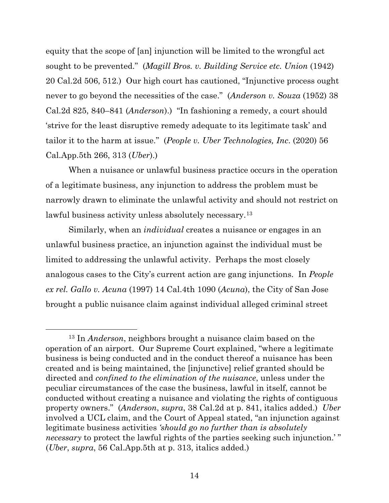equity that the scope of [an] injunction will be limited to the wrongful act sought to be prevented." (*Magill Bros. v. Building Service etc. Union* (1942) 20 Cal.2d 506, 512.) Our high court has cautioned, "Injunctive process ought never to go beyond the necessities of the case." (*Anderson v. Souza* (1952) 38 Cal.2d 825, 840–841 (*Anderson*).) "In fashioning a remedy, a court should 'strive for the least disruptive remedy adequate to its legitimate task' and tailor it to the harm at issue." (*People v. Uber Technologies, Inc*. (2020) 56 Cal.App.5th 266, 313 (*Uber*).)

When a nuisance or unlawful business practice occurs in the operation of a legitimate business, any injunction to address the problem must be narrowly drawn to eliminate the unlawful activity and should not restrict on lawful business activity unless absolutely necessary.<sup>[13](#page-13-0)</sup>

Similarly, when an *individual* creates a nuisance or engages in an unlawful business practice, an injunction against the individual must be limited to addressing the unlawful activity. Perhaps the most closely analogous cases to the City's current action are gang injunctions. In *People ex rel. Gallo v. Acuna* (1997) 14 Cal.4th 1090 (*Acuna*), the City of San Jose brought a public nuisance claim against individual alleged criminal street

<span id="page-13-0"></span><sup>13</sup> In *Anderson*, neighbors brought a nuisance claim based on the operation of an airport. Our Supreme Court explained, "where a legitimate business is being conducted and in the conduct thereof a nuisance has been created and is being maintained, the [injunctive] relief granted should be directed and *confined to the elimination of the nuisance*, unless under the peculiar circumstances of the case the business, lawful in itself, cannot be conducted without creating a nuisance and violating the rights of contiguous property owners." (*Anderson*, *supra*, 38 Cal.2d at p. 841, italics added.) *Uber* involved a UCL claim, and the Court of Appeal stated, "an injunction against legitimate business activities *'should go no further than is absolutely necessary* to protect the lawful rights of the parties seeking such injunction.'" (*Uber*, *supra*, 56 Cal.App.5th at p. 313, italics added.)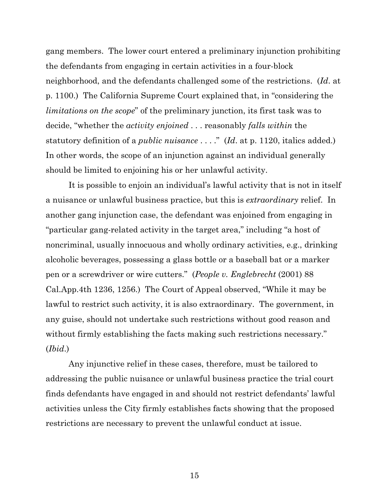gang members. The lower court entered a preliminary injunction prohibiting the defendants from engaging in certain activities in a four-block neighborhood, and the defendants challenged some of the restrictions. (*Id*. at p. 1100.) The California Supreme Court explained that, in "considering the *limitations on the scope*" of the preliminary junction, its first task was to decide, "whether the *activity enjoined* . . . reasonably *falls within* the statutory definition of a *public nuisance* . . . ." (*Id*. at p. 1120, italics added.) In other words, the scope of an injunction against an individual generally should be limited to enjoining his or her unlawful activity.

It is possible to enjoin an individual's lawful activity that is not in itself a nuisance or unlawful business practice, but this is *extraordinary* relief. In another gang injunction case, the defendant was enjoined from engaging in "particular gang-related activity in the target area," including "a host of noncriminal, usually innocuous and wholly ordinary activities, e.g., drinking alcoholic beverages, possessing a glass bottle or a baseball bat or a marker pen or a screwdriver or wire cutters." (*People v. Englebrecht* (2001) 88 Cal.App.4th 1236, 1256.) The Court of Appeal observed, "While it may be lawful to restrict such activity, it is also extraordinary. The government, in any guise, should not undertake such restrictions without good reason and without firmly establishing the facts making such restrictions necessary." (*Ibid*.)

Any injunctive relief in these cases, therefore, must be tailored to addressing the public nuisance or unlawful business practice the trial court finds defendants have engaged in and should not restrict defendants' lawful activities unless the City firmly establishes facts showing that the proposed restrictions are necessary to prevent the unlawful conduct at issue.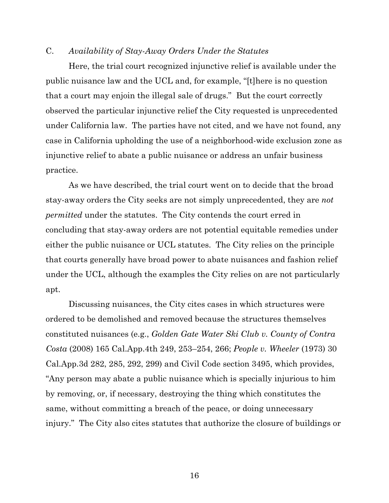#### C. *Availability of Stay-Away Orders Under the Statutes*

Here, the trial court recognized injunctive relief is available under the public nuisance law and the UCL and, for example, "[t]here is no question that a court may enjoin the illegal sale of drugs." But the court correctly observed the particular injunctive relief the City requested is unprecedented under California law. The parties have not cited, and we have not found, any case in California upholding the use of a neighborhood-wide exclusion zone as injunctive relief to abate a public nuisance or address an unfair business practice.

As we have described, the trial court went on to decide that the broad stay-away orders the City seeks are not simply unprecedented, they are *not permitted* under the statutes. The City contends the court erred in concluding that stay-away orders are not potential equitable remedies under either the public nuisance or UCL statutes. The City relies on the principle that courts generally have broad power to abate nuisances and fashion relief under the UCL, although the examples the City relies on are not particularly apt.

Discussing nuisances, the City cites cases in which structures were ordered to be demolished and removed because the structures themselves constituted nuisances (e.g., *Golden Gate Water Ski Club v. County of Contra Costa* (2008) 165 Cal.App.4th 249, 253–254, 266; *People v. Wheeler* (1973) 30 Cal.App.3d 282, 285, 292, 299) and Civil Code section 3495, which provides, "Any person may abate a public nuisance which is specially injurious to him by removing, or, if necessary, destroying the thing which constitutes the same, without committing a breach of the peace, or doing unnecessary injury." The City also cites statutes that authorize the closure of buildings or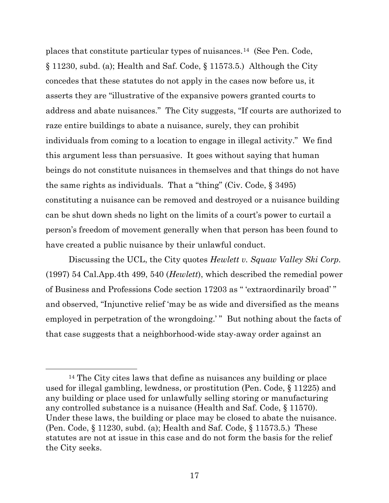places that constitute particular types of nuisances.[14](#page-16-0) (See Pen. Code, § 11230, subd. (a); Health and Saf. Code, § 11573.5.) Although the City concedes that these statutes do not apply in the cases now before us, it asserts they are "illustrative of the expansive powers granted courts to address and abate nuisances." The City suggests, "If courts are authorized to raze entire buildings to abate a nuisance, surely, they can prohibit individuals from coming to a location to engage in illegal activity." We find this argument less than persuasive. It goes without saying that human beings do not constitute nuisances in themselves and that things do not have the same rights as individuals. That a "thing" (Civ. Code, § 3495) constituting a nuisance can be removed and destroyed or a nuisance building can be shut down sheds no light on the limits of a court's power to curtail a person's freedom of movement generally when that person has been found to have created a public nuisance by their unlawful conduct.

Discussing the UCL, the City quotes *Hewlett v. Squaw Valley Ski Corp.*  (1997) 54 Cal.App.4th 499, 540 (*Hewlett*), which described the remedial power of Business and Professions Code section 17203 as " 'extraordinarily broad' " and observed, "Injunctive relief 'may be as wide and diversified as the means employed in perpetration of the wrongdoing.'" But nothing about the facts of that case suggests that a neighborhood-wide stay-away order against an

<span id="page-16-0"></span><sup>&</sup>lt;sup>14</sup> The City cites laws that define as nuisances any building or place used for illegal gambling, lewdness, or prostitution (Pen. Code, § 11225) and any building or place used for unlawfully selling storing or manufacturing any controlled substance is a nuisance (Health and Saf. Code, § 11570). Under these laws, the building or place may be closed to abate the nuisance. (Pen. Code, § 11230, subd. (a); Health and Saf. Code, § 11573.5.) These statutes are not at issue in this case and do not form the basis for the relief the City seeks.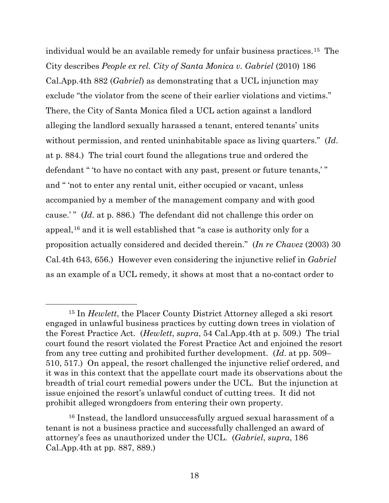individual would be an available remedy for unfair business practices.[15](#page-17-0) The City describes *People ex rel. City of Santa Monica v. Gabriel* (2010) 186 Cal.App.4th 882 (*Gabriel*) as demonstrating that a UCL injunction may exclude "the violator from the scene of their earlier violations and victims." There, the City of Santa Monica filed a UCL action against a landlord alleging the landlord sexually harassed a tenant, entered tenants' units without permission, and rented uninhabitable space as living quarters." (*Id*. at p. 884.) The trial court found the allegations true and ordered the defendant " 'to have no contact with any past, present or future tenants,' " and " 'not to enter any rental unit, either occupied or vacant, unless accompanied by a member of the management company and with good cause.' " (*Id*. at p. 886.) The defendant did not challenge this order on appeal,[16](#page-17-1) and it is well established that "a case is authority only for a proposition actually considered and decided therein." (*In re Chavez* (2003) 30 Cal.4th 643, 656.) However even considering the injunctive relief in *Gabriel* as an example of a UCL remedy, it shows at most that a no-contact order to

<span id="page-17-0"></span><sup>15</sup> In *Hewlett*, the Placer County District Attorney alleged a ski resort engaged in unlawful business practices by cutting down trees in violation of the Forest Practice Act. (*Hewlett*, *supra*, 54 Cal.App.4th at p. 509.) The trial court found the resort violated the Forest Practice Act and enjoined the resort from any tree cutting and prohibited further development. (*Id*. at pp. 509– 510, 517.) On appeal, the resort challenged the injunctive relief ordered, and it was in this context that the appellate court made its observations about the breadth of trial court remedial powers under the UCL. But the injunction at issue enjoined the resort's unlawful conduct of cutting trees. It did not prohibit alleged wrongdoers from entering their own property.

<span id="page-17-1"></span><sup>16</sup> Instead, the landlord unsuccessfully argued sexual harassment of a tenant is not a business practice and successfully challenged an award of attorney's fees as unauthorized under the UCL. (*Gabriel*, *supra*, 186 Cal.App.4th at pp. 887, 889.)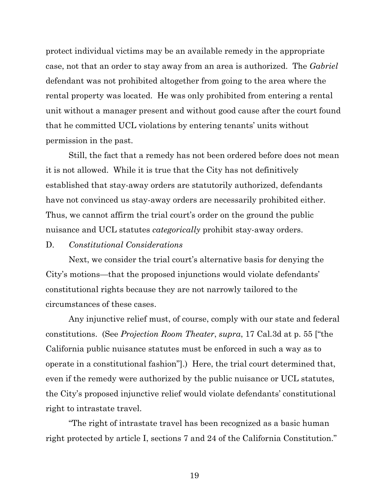protect individual victims may be an available remedy in the appropriate case, not that an order to stay away from an area is authorized. The *Gabriel* defendant was not prohibited altogether from going to the area where the rental property was located. He was only prohibited from entering a rental unit without a manager present and without good cause after the court found that he committed UCL violations by entering tenants' units without permission in the past.

Still, the fact that a remedy has not been ordered before does not mean it is not allowed. While it is true that the City has not definitively established that stay-away orders are statutorily authorized, defendants have not convinced us stay-away orders are necessarily prohibited either. Thus, we cannot affirm the trial court's order on the ground the public nuisance and UCL statutes *categorically* prohibit stay-away orders.

### D. *Constitutional Considerations*

Next, we consider the trial court's alternative basis for denying the City's motions—that the proposed injunctions would violate defendants' constitutional rights because they are not narrowly tailored to the circumstances of these cases.

Any injunctive relief must, of course, comply with our state and federal constitutions. (See *Projection Room Theater*, *supra*, 17 Cal.3d at p. 55 ["the California public nuisance statutes must be enforced in such a way as to operate in a constitutional fashion"].) Here, the trial court determined that, even if the remedy were authorized by the public nuisance or UCL statutes, the City's proposed injunctive relief would violate defendants' constitutional right to intrastate travel.

"The right of intrastate travel has been recognized as a basic human right protected by article I, sections 7 and 24 of the California Constitution."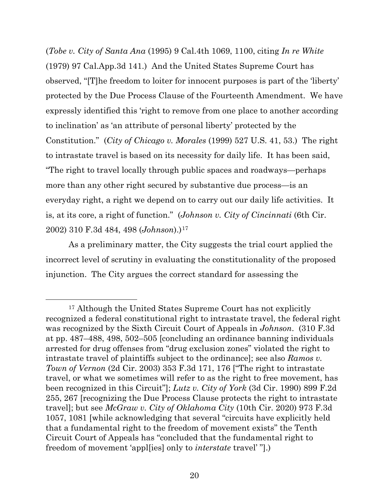(*Tobe v. City of Santa Ana* (1995) 9 Cal.4th 1069, 1100, citing *In re White* (1979) 97 Cal.App.3d 141.) And the United States Supreme Court has observed, "[T]he freedom to loiter for innocent purposes is part of the 'liberty' protected by the Due Process Clause of the Fourteenth Amendment. We have expressly identified this 'right to remove from one place to another according to inclination' as 'an attribute of personal liberty' protected by the Constitution." (*City of Chicago v. Morales* (1999) 527 U.S. 41, 53.) The right to intrastate travel is based on its necessity for daily life. It has been said, "The right to travel locally through public spaces and roadways—perhaps more than any other right secured by substantive due process—is an everyday right, a right we depend on to carry out our daily life activities. It is, at its core, a right of function." (*Johnson v. City of Cincinnati* (6th Cir. 2002) 310 F.3d 484, 498 (*Johnson*).)[17](#page-19-0)

As a preliminary matter, the City suggests the trial court applied the incorrect level of scrutiny in evaluating the constitutionality of the proposed injunction. The City argues the correct standard for assessing the

<span id="page-19-0"></span><sup>&</sup>lt;sup>17</sup> Although the United States Supreme Court has not explicitly recognized a federal constitutional right to intrastate travel, the federal right was recognized by the Sixth Circuit Court of Appeals in *Johnson*. (310 F.3d at pp. 487–488, 498, 502–505 [concluding an ordinance banning individuals arrested for drug offenses from "drug exclusion zones" violated the right to intrastate travel of plaintiffs subject to the ordinance]; see also *Ramos v. Town of Vernon* (2d Cir. 2003) 353 F.3d 171, 176 ["The right to intrastate travel, or what we sometimes will refer to as the right to free movement, has been recognized in this Circuit"]; *Lutz v. City of York* (3d Cir. 1990) 899 F.2d 255, 267 [recognizing the Due Process Clause protects the right to intrastate travel]; but see *McGraw v. City of Oklahoma City* (10th Cir. 2020) 973 F.3d 1057, 1081 [while acknowledging that several "circuits have explicitly held that a fundamental right to the freedom of movement exists" the Tenth Circuit Court of Appeals has "concluded that the fundamental right to freedom of movement 'appl[ies] only to *interstate* travel' "].)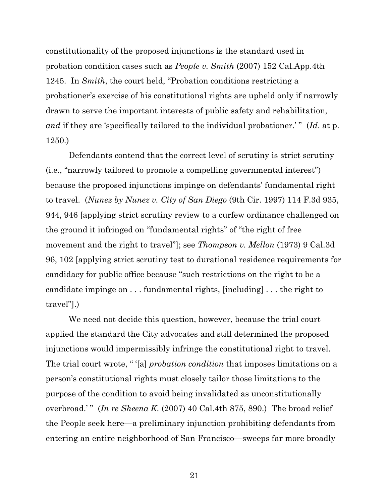constitutionality of the proposed injunctions is the standard used in probation condition cases such as *People v. Smith* (2007) 152 Cal.App.4th 1245. In *Smith*, the court held, "Probation conditions restricting a probationer's exercise of his constitutional rights are upheld only if narrowly drawn to serve the important interests of public safety and rehabilitation, *and* if they are 'specifically tailored to the individual probationer.'" (*Id.* at p. 1250.)

Defendants contend that the correct level of scrutiny is strict scrutiny (i.e., "narrowly tailored to promote a compelling governmental interest") because the proposed injunctions impinge on defendants' fundamental right to travel. (*Nunez by Nunez v. City of San Diego* (9th Cir. 1997) 114 F.3d 935, 944, 946 [applying strict scrutiny review to a curfew ordinance challenged on the ground it infringed on "fundamental rights" of "the right of free movement and the right to travel"]; see *Thompson v. Mellon* (1973) 9 Cal.3d 96, 102 [applying strict scrutiny test to durational residence requirements for candidacy for public office because "such restrictions on the right to be a candidate impinge on . . . fundamental rights, [including] . . . the right to travel"].)

We need not decide this question, however, because the trial court applied the standard the City advocates and still determined the proposed injunctions would impermissibly infringe the constitutional right to travel. The trial court wrote, " '[a] *probation condition* that imposes limitations on a person's constitutional rights must closely tailor those limitations to the purpose of the condition to avoid being invalidated as unconstitutionally overbroad.'" (*In re Sheena K.* (2007) 40 Cal.4th 875, 890.) The broad relief the People seek here—a preliminary injunction prohibiting defendants from entering an entire neighborhood of San Francisco—sweeps far more broadly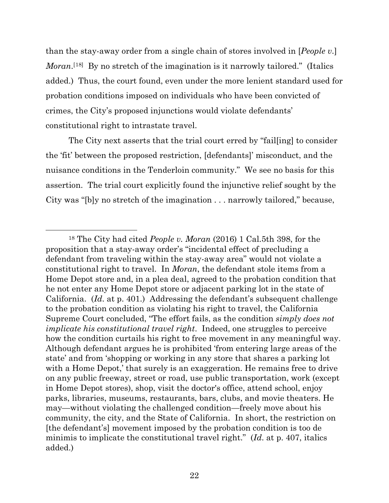than the stay-away order from a single chain of stores involved in [*People v*.] *Moran*.<sup>[[18\]](#page-21-0)</sup> By no stretch of the imagination is it narrowly tailored." (Italics added.) Thus, the court found, even under the more lenient standard used for probation conditions imposed on individuals who have been convicted of crimes, the City's proposed injunctions would violate defendants' constitutional right to intrastate travel.

The City next asserts that the trial court erred by "fail[ing] to consider the 'fit' between the proposed restriction, [defendants]' misconduct, and the nuisance conditions in the Tenderloin community." We see no basis for this assertion. The trial court explicitly found the injunctive relief sought by the City was "[b]y no stretch of the imagination . . . narrowly tailored," because,

<span id="page-21-0"></span><sup>18</sup> The City had cited *People v. Moran* (2016) 1 Cal.5th 398, for the proposition that a stay-away order's "incidental effect of precluding a defendant from traveling within the stay-away area" would not violate a constitutional right to travel. In *Moran*, the defendant stole items from a Home Depot store and, in a plea deal, agreed to the probation condition that he not enter any Home Depot store or adjacent parking lot in the state of California. (*Id*. at p. 401.) Addressing the defendant's subsequent challenge to the probation condition as violating his right to travel, the California Supreme Court concluded, "The effort fails, as the condition *simply does not implicate his constitutional travel right*. Indeed, one struggles to perceive how the condition curtails his right to free movement in any meaningful way. Although defendant argues he is prohibited 'from entering large areas of the state' and from 'shopping or working in any store that shares a parking lot with a Home Depot,' that surely is an exaggeration. He remains free to drive on any public freeway, street or road, use public transportation, work (except in Home Depot stores), shop, visit the doctor's office, attend school, enjoy parks, libraries, museums, restaurants, bars, clubs, and movie theaters. He may—without violating the challenged condition—freely move about his community, the city, and the State of California. In short, the restriction on [the defendant's] movement imposed by the probation condition is too de minimis to implicate the constitutional travel right." (*Id*. at p. 407, italics added.)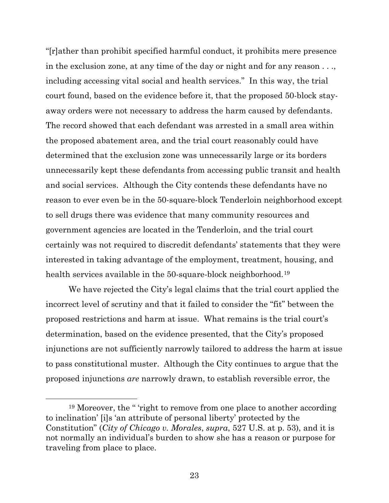"[r]ather than prohibit specified harmful conduct, it prohibits mere presence in the exclusion zone, at any time of the day or night and for any reason . . ., including accessing vital social and health services." In this way, the trial court found, based on the evidence before it, that the proposed 50-block stayaway orders were not necessary to address the harm caused by defendants. The record showed that each defendant was arrested in a small area within the proposed abatement area, and the trial court reasonably could have determined that the exclusion zone was unnecessarily large or its borders unnecessarily kept these defendants from accessing public transit and health and social services. Although the City contends these defendants have no reason to ever even be in the 50-square-block Tenderloin neighborhood except to sell drugs there was evidence that many community resources and government agencies are located in the Tenderloin, and the trial court certainly was not required to discredit defendants' statements that they were interested in taking advantage of the employment, treatment, housing, and health services available in the 50-square-block neighborhood.<sup>[19](#page-22-0)</sup>

We have rejected the City's legal claims that the trial court applied the incorrect level of scrutiny and that it failed to consider the "fit" between the proposed restrictions and harm at issue. What remains is the trial court's determination, based on the evidence presented, that the City's proposed injunctions are not sufficiently narrowly tailored to address the harm at issue to pass constitutional muster. Although the City continues to argue that the proposed injunctions *are* narrowly drawn, to establish reversible error, the

<span id="page-22-0"></span><sup>&</sup>lt;sup>19</sup> Moreover, the " 'right to remove from one place to another according to inclination' [i]s 'an attribute of personal liberty' protected by the Constitution" (*City of Chicago v. Morales*, *supra*, 527 U.S. at p. 53), and it is not normally an individual's burden to show she has a reason or purpose for traveling from place to place.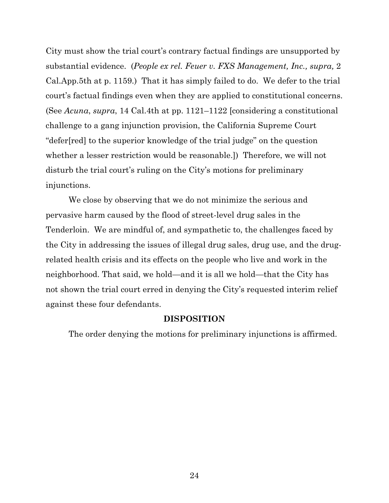City must show the trial court's contrary factual findings are unsupported by substantial evidence. (*People ex rel. Feuer v. FXS Management, Inc., supra,* 2 Cal.App.5th at p. 1159.) That it has simply failed to do. We defer to the trial court's factual findings even when they are applied to constitutional concerns. (See *Acuna*, *supra*, 14 Cal.4th at pp. 1121–1122 [considering a constitutional challenge to a gang injunction provision, the California Supreme Court "defer[red] to the superior knowledge of the trial judge" on the question whether a lesser restriction would be reasonable.]) Therefore, we will not disturb the trial court's ruling on the City's motions for preliminary injunctions.

We close by observing that we do not minimize the serious and pervasive harm caused by the flood of street-level drug sales in the Tenderloin. We are mindful of, and sympathetic to, the challenges faced by the City in addressing the issues of illegal drug sales, drug use, and the drugrelated health crisis and its effects on the people who live and work in the neighborhood. That said, we hold—and it is all we hold—that the City has not shown the trial court erred in denying the City's requested interim relief against these four defendants.

## **DISPOSITION**

The order denying the motions for preliminary injunctions is affirmed.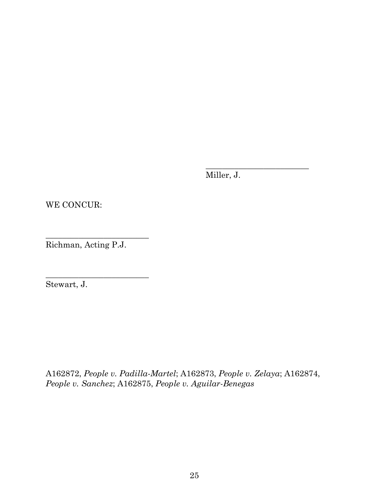Miller, J.

\_\_\_\_\_\_\_\_\_\_\_\_\_\_\_\_\_\_\_\_\_\_\_\_\_

WE CONCUR:

Richman, Acting P.J.

\_\_\_\_\_\_\_\_\_\_\_\_\_\_\_\_\_\_\_\_\_\_\_\_\_

\_\_\_\_\_\_\_\_\_\_\_\_\_\_\_\_\_\_\_\_\_\_\_\_\_

Stewart, J.

A162872, *People v. Padilla-Martel*; A162873, *People v. Zelaya*; A162874, *People v. Sanchez*; A162875, *People v. Aguilar-Benegas*